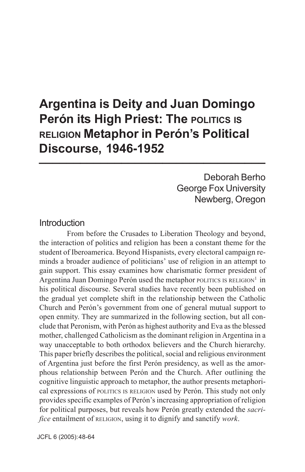# **Argentina is Deity and Juan Domingo Perón its High Priest: The POLITICS IS RELIGION Metaphor in Perón's Political Discourse, 1946-1952 \_\_\_\_\_\_\_\_\_\_\_\_\_\_\_\_\_\_\_\_\_\_\_\_\_\_\_\_\_\_\_\_\_**

Deborah Berho George Fox University Newberg, Oregon

## Introduction

From before the Crusades to Liberation Theology and beyond, the interaction of politics and religion has been a constant theme for the student of Iberoamerica. Beyond Hispanists, every electoral campaign reminds a broader audience of politicians' use of religion in an attempt to gain support. This essay examines how charismatic former president of Argentina Juan Domingo Perón used the metaphor POLITICS IS RELIGION<sup>1</sup> in his political discourse. Several studies have recently been published on the gradual yet complete shift in the relationship between the Catholic Church and Perón's government from one of general mutual support to open enmity. They are summarized in the following section, but all conclude that Peronism, with Perón as highest authority and Eva as the blessed mother, challenged Catholicism as the dominant religion in Argentina in a way unacceptable to both orthodox believers and the Church hierarchy. This paper briefly describes the political, social and religious environment of Argentina just before the first Perón presidency, as well as the amorphous relationship between Perón and the Church. After outlining the cognitive linguistic approach to metaphor, the author presents metaphorical expressions of POLITICS IS RELIGION used by Perón. This study not only provides specific examples of Perón's increasing appropriation of religion for political purposes, but reveals how Perón greatly extended the *sacrifice* entailment of RELIGION, using it to dignify and sanctify *work*.

JCFL 6 (2005): 48-64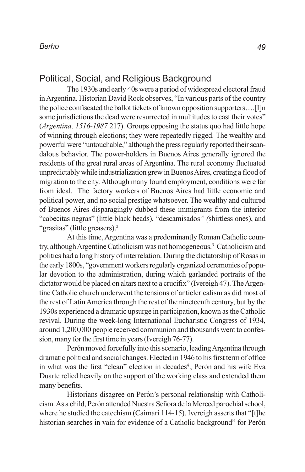## Political, Social, and Religious Background

The 1930s and early 40s were a period of widespread electoral fraud in Argentina. Historian David Rock observes, "In various parts of the country the police confiscated the ballot tickets of known opposition supporters….[I]n some jurisdictions the dead were resurrected in multitudes to cast their votes" (*Argentina, 1516-1987* 217). Groups opposing the status quo had little hope of winning through elections; they were repeatedly rigged. The wealthy and powerful were "untouchable," although the press regularly reported their scandalous behavior. The power-holders in Buenos Aires generally ignored the residents of the great rural areas of Argentina. The rural economy fluctuated unpredictably while industrialization grew in Buenos Aires, creating a flood of migration to the city. Although many found employment, conditions were far from ideal. The factory workers of Buenos Aires had little economic and political power, and no social prestige whatsoever. The wealthy and cultured of Buenos Aires disparagingly dubbed these immigrants from the interior "cabecitas negras" (little black heads), "descamisados*" (*shirtless ones), and "grasitas" (little greasers).<sup>2</sup>

At this time, Argentina was a predominantly Roman Catholic country, although Argentine Catholicism was not homogeneous.3 Catholicism and politics had a long history of interrelation. During the dictatorship of Rosas in the early 1800s, "government workers regularly organized ceremonies of popular devotion to the administration, during which garlanded portraits of the dictator would be placed on altars next to a crucifix" (Ivereigh 47). The Argentine Catholic church underwent the tensions of anticlericalism as did most of the rest of Latin America through the rest of the nineteenth century, but by the 1930s experienced a dramatic upsurge in participation, known as the Catholic revival. During the week-long International Eucharistic Congress of 1934, around 1,200,000 people received communion and thousands went to confession, many for the first time in years (Ivereigh 76-77).

Perón moved forcefully into this scenario, leading Argentina through dramatic political and social changes. Elected in 1946 to his first term of office in what was the first "clean" election in decades<sup>4</sup>, Perón and his wife Eva Duarte relied heavily on the support of the working class and extended them many benefits.

Historians disagree on Perón's personal relationship with Catholicism. As a child, Perón attended Nuestra Señora de la Merced parochial school, where he studied the catechism (Caimari 114-15). Ivereigh asserts that "[t]he historian searches in vain for evidence of a Catholic background" for Perón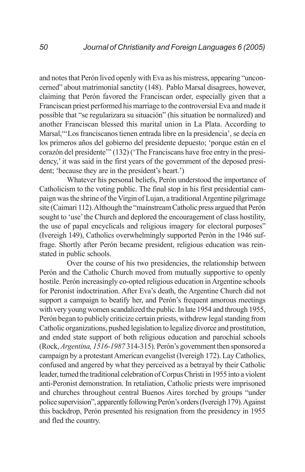and notes that Perón lived openly with Eva as his mistress, appearing "unconcerned" about matrimonial sanctity (148). Pablo Marsal disagrees, however, claiming that Perón favored the Franciscan order, especially given that a Franciscan priest performed his marriage to the controversial Eva and made it possible that "se regularizara su situación" (his situation be normalized) and another Franciscan blessed this marital union in La Plata. According to Marsal,"'Los franciscanos tienen entrada libre en la presidencia', se decía en los primeros años del gobierno del presidente depuesto; 'porque están en el corazón del presidente'" (132) ('The Franciscans have free entry in the presidency,' it was said in the first years of the government of the deposed president; 'because they are in the president's heart.')

Whatever his personal beliefs, Perón understood the importance of Catholicism to the voting public. The final stop in his first presidential campaign was the shrine of the Virgin of Lujan, a traditional Argentine pilgrimage site (Caimari 112). Although the "mainstream Catholic press argued that Perón sought to 'use' the Church and deplored the encouragement of class hostility, the use of papal encyclicals and religious imagery for electoral purposes" (Ivereigh 149), Catholics overwhelmingly supported Perón in the 1946 suffrage. Shortly after Perón became president, religious education was reinstated in public schools.

Over the course of his two presidencies, the relationship between Perón and the Catholic Church moved from mutually supportive to openly hostile. Perón increasingly co-opted religious education in Argentine schools for Peronist indoctrination. After Eva's death, the Argentine Church did not support a campaign to beatify her, and Perón's frequent amorous meetings with very young women scandalized the public. In late 1954 and through 1955, Perón began to publicly criticize certain priests, withdrew legal standing from Catholic organizations, pushed legislation to legalize divorce and prostitution, and ended state support of both religious education and parochial schools (Rock, *Argentina, 1516-1987* 314-315). Perón's government then sponsored a campaign by a protestant American evangelist (Ivereigh 172). Lay Catholics, confused and angered by what they perceived as a betrayal by their Catholic leader, turned the traditional celebration of Corpus Christi in 1955 into a violent anti-Peronist demonstration. In retaliation, Catholic priests were imprisoned and churches throughout central Buenos Aires torched by groups "under police supervision", apparently following Perón's orders (Ivereigh 179). Against this backdrop, Perón presented his resignation from the presidency in 1955 and fled the country.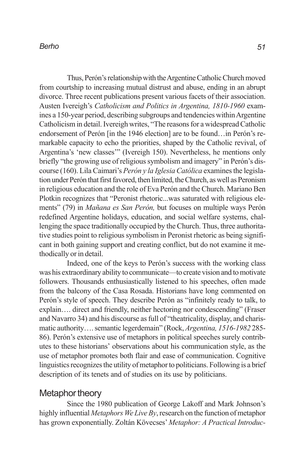Thus, Perón's relationship with the Argentine Catholic Church moved from courtship to increasing mutual distrust and abuse, ending in an abrupt divorce. Three recent publications present various facets of their association. Austen Ivereigh's *Catholicism and Politics in Argentina, 1810-1960* examines a 150-year period, describing subgroups and tendencies within Argentine Catholicism in detail. Ivereigh writes, "The reasons for a widespread Catholic endorsement of Perón [in the 1946 election] are to be found…in Perón's remarkable capacity to echo the priorities, shaped by the Catholic revival, of Argentina's 'new classes'" (Ivereigh 150). Nevertheless, he mentions only briefly "the growing use of religious symbolism and imagery" in Perón's discourse (160). Lila Caimari's *Perón y la Iglesia Católica* examines the legislation under Perón that first favored, then limited, the Church, as well as Peronism in religious education and the role of Eva Perón and the Church. Mariano Ben Plotkin recognizes that "Peronist rhetoric...was saturated with religious elements" (79) in *Mañana es San Perón,* but focuses on multiple ways Perón redefined Argentine holidays, education, and social welfare systems, challenging the space traditionally occupied by the Church. Thus, three authoritative studies point to religious symbolism in Peronist rhetoric as being significant in both gaining support and creating conflict, but do not examine it methodically or in detail.

Indeed, one of the keys to Perón's success with the working class was his extraordinary ability to communicate—to create vision and to motivate followers. Thousands enthusiastically listened to his speeches, often made from the balcony of the Casa Rosada. Historians have long commented on Perón's style of speech. They describe Perón as "infinitely ready to talk, to explain…. direct and friendly, neither hectoring nor condescending" (Fraser and Navarro 34) and his discourse as full of "theatricality, display, and charismatic authority…. semantic legerdemain" (Rock, *Argentina, 1516-1982* 285- 86). Perón's extensive use of metaphors in political speeches surely contributes to these historians' observations about his communication style, as the use of metaphor promotes both flair and ease of communication. Cognitive linguistics recognizes the utility of metaphor to politicians. Following is a brief description of its tenets and of studies on its use by politicians.

## Metaphor theory

Since the 1980 publication of George Lakoff and Mark Johnson's highly influential *Metaphors We Live By*, research on the function of metaphor has grown exponentially. Zoltán Kövecses' *Metaphor: A Practical Introduc-*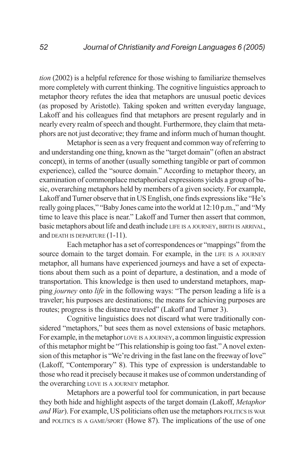*tion* (2002) is a helpful reference for those wishing to familiarize themselves more completely with current thinking. The cognitive linguistics approach to metaphor theory refutes the idea that metaphors are unusual poetic devices (as proposed by Aristotle). Taking spoken and written everyday language, Lakoff and his colleagues find that metaphors are present regularly and in nearly every realm of speech and thought. Furthermore, they claim that metaphors are not just decorative; they frame and inform much of human thought.

Metaphor is seen as a very frequent and common way of referring to and understanding one thing, known as the "target domain" (often an abstract concept), in terms of another (usually something tangible or part of common experience), called the "source domain." According to metaphor theory, an examination of commonplace metaphorical expressions yields a group of basic, overarching metaphors held by members of a given society. For example, Lakoff and Turner observe that in US English, one finds expressions like "He's really going places," "Baby Jones came into the world at 12:10 p.m.," and "My time to leave this place is near." Lakoff and Turner then assert that common, basic metaphors about life and death include LIFE IS <sup>A</sup> JOURNEY, BIRTH IS ARRIVAL, and DEATH IS DEPARTURE (1-11).

Each metaphor has a set of correspondences or "mappings" from the source domain to the target domain. For example, in the LIFE IS <sup>A</sup> JOURNEY metaphor, all humans have experienced journeys and have a set of expectations about them such as a point of departure, a destination, and a mode of transportation. This knowledge is then used to understand metaphors, mapping *journey* onto *life* in the following ways: "The person leading a life is a traveler; his purposes are destinations; the means for achieving purposes are routes; progress is the distance traveled" (Lakoff and Turner 3).

Cognitive linguistics does not discard what were traditionally considered "metaphors," but sees them as novel extensions of basic metaphors. For example, in the metaphor LOVE IS <sup>A</sup> JOURNEY, a common linguistic expression of this metaphor might be "This relationship is going too fast." A novel extension of this metaphor is "We're driving in the fast lane on the freeway of love" (Lakoff, "Contemporary" 8). This type of expression is understandable to those who read it precisely because it makes use of common understanding of the overarching LOVE IS <sup>A</sup> JOURNEY metaphor.

Metaphors are a powerful tool for communication, in part because they both hide and highlight aspects of the target domain (Lakoff, *Metaphor and War*). For example, US politicians often use the metaphors POLITICS IS WAR and POLITICS IS <sup>A</sup> GAME/SPORT (Howe 87). The implications of the use of one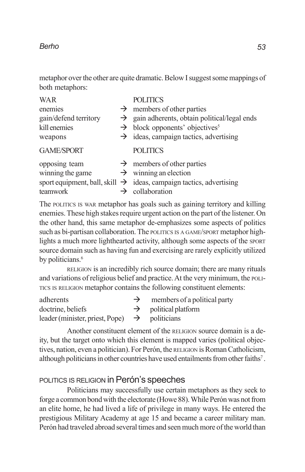metaphor over the other are quite dramatic. Below I suggest some mappings of both metaphors:

| <b>WAR</b>            | <b>POLITICS</b>                                                                 |
|-----------------------|---------------------------------------------------------------------------------|
| enemies               | $\rightarrow$ members of other parties                                          |
| gain/defend territory | $\rightarrow$ gain adherents, obtain political/legal ends                       |
| kill enemies          | $\rightarrow$ block opponents' objectives <sup>5</sup>                          |
| weapons               | $\rightarrow$ ideas, campaign tactics, advertising                              |
| <b>GAME/SPORT</b>     | <b>POLITICS</b>                                                                 |
| opposing team         | $\rightarrow$ members of other parties                                          |
| winning the game      | $\rightarrow$ winning an election                                               |
|                       | sport equipment, ball, skill $\rightarrow$ ideas, campaign tactics, advertising |
| teamwork              | collaboration                                                                   |

The POLITICS IS WAR metaphor has goals such as gaining territory and killing enemies. These high stakes require urgent action on the part of the listener. On the other hand, this same metaphor de-emphasizes some aspects of politics such as bi-partisan collaboration. The POLITICS IS <sup>A</sup> GAME/SPORT metaphor highlights a much more lighthearted activity, although some aspects of the SPORT source domain such as having fun and exercising are rarely explicitly utilized by politicians.<sup>6</sup>

RELIGION is an incredibly rich source domain; there are many rituals and variations of religious belief and practice. At the very minimum, the POLI-TICS IS RELIGION metaphor contains the following constituent elements:

| adherents                                                 | $\rightarrow$ | members of a political party     |
|-----------------------------------------------------------|---------------|----------------------------------|
| doctrine, beliefs                                         |               | $\rightarrow$ political platform |
| leader (minister, priest, Pope) $\rightarrow$ politicians |               |                                  |

Another constituent element of the RELIGION source domain is a deity, but the target onto which this element is mapped varies (political objectives, nation, even a politician). For Perón, the RELIGION is Roman Catholicism, although politicians in other countries have used entailments from other faiths<sup>7</sup>.

## POLITICS IS RELIGION in Perón's speeches

Politicians may successfully use certain metaphors as they seek to forge a common bond with the electorate (Howe 88). While Perón was not from an elite home, he had lived a life of privilege in many ways. He entered the prestigious Military Academy at age 15 and became a career military man. Perón had traveled abroad several times and seen much more of the world than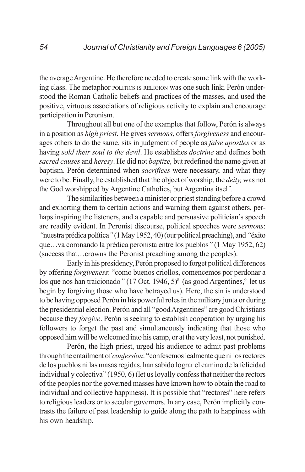the average Argentine. He therefore needed to create some link with the working class. The metaphor POLITICS IS RELIGION was one such link; Perón understood the Roman Catholic beliefs and practices of the masses, and used the positive, virtuous associations of religious activity to explain and encourage participation in Peronism.

Throughout all but one of the examples that follow, Perón is always in a position as *high priest*. He gives *sermons*, offers *forgiveness* and encourages others to do the same, sits in judgment of people as *false apostles* or as having *sold their soul to the devil*. He establishes *doctrine* and defines both *sacred causes* and *heresy*. He did not *baptize,* but redefined the name given at baptism. Perón determined when *sacrifices* were necessary, and what they were to be. Finally, he established that the object of worship, the *deity,* was not the God worshipped by Argentine Catholics, but Argentina itself.

The similarities between a minister or priest standing before a crowd and exhorting them to certain actions and warning them against others, perhaps inspiring the listeners, and a capable and persuasive politician's speech are readily evident. In Peronist discourse, political speeches were *sermons*: *"*nuestra prédica política*"* (1 May 1952, 40) (our political preaching), and *"*éxito que…va coronando la prédica peronista entre los pueblos*"* (1 May 1952, 62) (success that…crowns the Peronist preaching among the peoples).

Early in his presidency, Perón proposed to forget political differences by offering *forgiveness*: "como buenos criollos, comencemos por perdonar a los que nos han traicionado<sup>"</sup> (17 Oct. 1946, 5)<sup>8</sup> (as good Argentines,<sup>9</sup> let us begin by forgiving those who have betrayed us). Here, the sin is understood to be having opposed Perón in his powerful roles in the military junta or during the presidential election. Perón and all "good Argentines" are good Christians because they *forgive*. Perón is seeking to establish cooperation by urging his followers to forget the past and simultaneously indicating that those who opposed him will be welcomed into his camp, or at the very least, not punished.

Perón, the high priest, urged his audience to admit past problems through the entailment of *confession*: "confesemos lealmente que ni los rectores de los pueblos ni las masas regidas, han sabido lograr el camino de la felicidad individual y colectiva" (1950, 6) (let us loyally confess that neither the rectors of the peoples nor the governed masses have known how to obtain the road to individual and collective happiness). It is possible that "rectores" here refers to religious leaders or to secular governors. In any case, Perón implicitly contrasts the failure of past leadership to guide along the path to happiness with his own headship.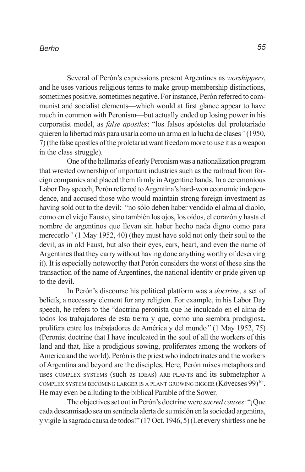Several of Perón's expressions present Argentines as *worshippers*, and he uses various religious terms to make group membership distinctions, sometimes positive, sometimes negative. For instance, Perón referred to communist and socialist elements—which would at first glance appear to have much in common with Peronism—but actually ended up losing power in his corporatist model, as *false apostles*: "los falsos apóstoles del proletariado quieren la libertad más para usarla como un arma en la lucha de clases*"* (1950, 7) (the false apostles of the proletariat want freedom more to use it as a weapon in the class struggle).

One of the hallmarks of early Peronism was a nationalization program that wrested ownership of important industries such as the railroad from foreign companies and placed them firmly in Argentine hands. In a ceremonious Labor Day speech, Perón referred to Argentina's hard-won economic independence, and accused those who would maintain strong foreign investment as having sold out to the devil: "no sólo deben haber vendido el alma al diablo, como en el viejo Fausto, sino también los ojos, los oídos, el corazón y hasta el nombre de argentinos que llevan sin haber hecho nada digno como para merecerlo*"* (1 May 1952, 40) (they must have sold not only their soul to the devil, as in old Faust, but also their eyes, ears, heart, and even the name of Argentines that they carry without having done anything worthy of deserving it). It is especially noteworthy that Perón considers the worst of these sins the transaction of the name of Argentines, the national identity or pride given up to the devil.

In Perón's discourse his political platform was a *doctrine*, a set of beliefs, a necessary element for any religion. For example, in his Labor Day speech, he refers to the "doctrina peronista que he inculcado en el alma de todos los trabajadores de esta tierra y que, como una siembra prodigiosa, prolifera entre los trabajadores de América y del mundo*"* (1 May 1952, 75) (Peronist doctrine that I have inculcated in the soul of all the workers of this land and that, like a prodigious sowing, proliferates among the workers of America and the world). Perón is the priest who indoctrinates and the workers of Argentina and beyond are the disciples. Here, Perón mixes metaphors and uses COMPLEX SYSTEMS (such as IDEAS) ARE PLANTS and its submetaphor A COMPLEX SYSTEM BECOMING LARGER IS A PLANT GROWING BIGGER  $(K\ddot{o}vecses 99)^{10}$ . He may even be alluding to the biblical Parable of the Sower.

The objectives set out in Perón's doctrine were *sacred causes*: "¡Que cada descamisado sea un sentinela alerta de su misión en la sociedad argentina, y vigile la sagrada causa de todos!" (17 Oct. 1946, 5) (Let every shirtless one be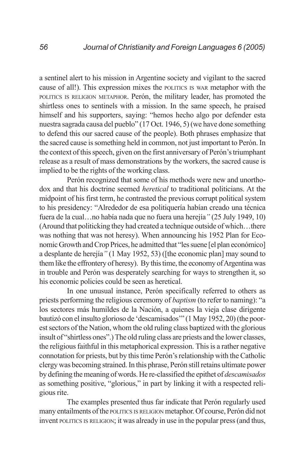a sentinel alert to his mission in Argentine society and vigilant to the sacred cause of all!). This expression mixes the POLITICS IS WAR metaphor with the POLITICS IS RELIGION METAPHOR. Perón, the military leader, has promoted the shirtless ones to sentinels with a mission. In the same speech, he praised himself and his supporters, saying: "hemos hecho algo por defender esta nuestra sagrada causa del pueblo" (17 Oct. 1946, 5) (we have done something to defend this our sacred cause of the people). Both phrases emphasize that the sacred cause is something held in common, not just important to Perón. In the context of this speech, given on the first anniversary of Perón's triumphant release as a result of mass demonstrations by the workers, the sacred cause is implied to be the rights of the working class.

Perón recognized that some of his methods were new and unorthodox and that his doctrine seemed *heretical* to traditional politicians. At the midpoint of his first term, he contrasted the previous corrupt political system to his presidency: "Alrededor de esa politiquería habían creado una técnica fuera de la cual…no había nada que no fuera una herejía*"* (25 July 1949, 10) (Around that politicking they had created a technique outside of which…there was nothing that was not heresy). When announcing his 1952 Plan for Economic Growth and Crop Prices, he admitted that "les suene [el plan económico] a desplante de herejía*"* (1 May 1952, 53) ([the economic plan] may sound to them like the effrontery of heresy). By this time, the economy of Argentina was in trouble and Perón was desperately searching for ways to strengthen it, so his economic policies could be seen as heretical.

In one unusual instance, Perón specifically referred to others as priests performing the religious ceremony of *baptism* (to refer to naming): "a los sectores más humildes de la Nación, a quienes la vieja clase dirigente bautizó con el insulto glorioso de 'descamisados'" (1 May 1952, 20) (the poorest sectors of the Nation, whom the old ruling class baptized with the glorious insult of "shirtless ones".) The old ruling class are priests and the lower classes, the religious faithful in this metaphorical expression. This is a rather negative connotation for priests, but by this time Perón's relationship with the Catholic clergy was becoming strained. In this phrase, Perón still retains ultimate power by defining the meaning of words. He re-classified the epithet of *descamisados* as something positive, "glorious," in part by linking it with a respected religious rite.

The examples presented thus far indicate that Perón regularly used many entailments of the POLITICS IS RELIGION metaphor. Of course, Perón did not invent POLITICS IS RELIGION; it was already in use in the popular press (and thus,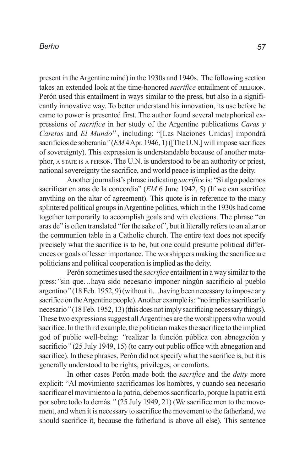present in the Argentine mind) in the 1930s and 1940s. The following section takes an extended look at the time-honored *sacrifice* entailment of RELIGION*.* Perón used this entailment in ways similar to the press, but also in a significantly innovative way. To better understand his innovation, its use before he came to power is presented first. The author found several metaphorical expressions of *sacrifice* in her study of the Argentine publications *Caras y Caretas* and *El Mundo11* , including: "[Las Naciones Unidas] impondrá sacrificios de soberanía*"* (*EM* 4 Apr. 1946, 1) ([The U.N.] will impose sacrifices of sovereignty). This expression is understandable because of another metaphor, A STATE IS <sup>A</sup> PERSON. The U.N. is understood to be an authority or priest, national sovereignty the sacrifice, and world peace is implied as the deity.

Another journalist's phrase indicating *sacrifice* is: "Si algo podemos sacrificar en aras de la concordia" (*EM* 6 June 1942, 5) (If we can sacrifice anything on the altar of agreement). This quote is in reference to the many splintered political groups in Argentine politics, which in the 1930s had come together temporarily to accomplish goals and win elections. The phrase "en aras de" is often translated "for the sake of", but it literally refers to an altar or the communion table in a Catholic church. The entire text does not specify precisely what the sacrifice is to be, but one could presume political differences or goals of lesser importance. The worshippers making the sacrifice are politicians and political cooperation is implied as the deity.

Perón sometimes used the *sacrifice* entailment in a way similar to the press:*"*sin que…haya sido necesario imponer ningún sacrificio al pueblo argentino*"* (18 Feb. 1952, 9) (without it…having been necessary to impose any sacrifice on the Argentine people). Another example is: *"*no implica sacrificar lo necesario*"* (18 Feb. 1952, 13) (this does not imply sacrificing necessary things). These two expressions suggest all Argentines are the worshippers who would sacrifice. In the third example, the politician makes the sacrifice to the implied god of public well-being: *"*realizar la función pública con abnegación y sacrificio<sup>"</sup> (25 July 1949, 15) (to carry out public office with abnegation and sacrifice). In these phrases, Perón did not specify what the sacrifice is, but it is generally understood to be rights, privileges, or comforts.

In other cases Perón made both the *sacrifice* and the *deity* more explicit: "Al movimiento sacrificamos los hombres, y cuando sea necesario sacrificar el movimiento a la patria, debemos sacrificarlo, porque la patria está por sobre todo lo demás.*"* (25 July 1949, 21) (We sacrifice men to the movement, and when it is necessary to sacrifice the movement to the fatherland, we should sacrifice it, because the fatherland is above all else). This sentence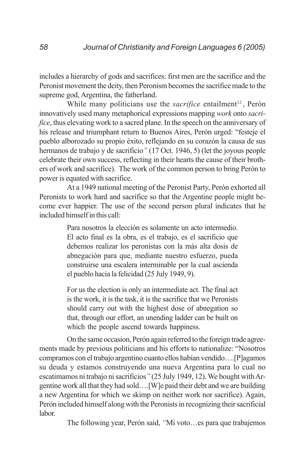includes a hierarchy of gods and sacrifices: first men are the sacrifice and the Peronist movement the deity, then Peronism becomes the sacrifice made to the supreme god, Argentina, the fatherland.

While many politicians use the *sacrifice* entailment<sup>12</sup>, Perón innovatively used many metaphorical expressions mapping *work* onto *sacrifice*, thus elevating work to a sacred plane. In the speech on the anniversary of his release and triumphant return to Buenos Aires, Perón urged: "festeje el pueblo alborozado su propio éxito, reflejando en su corazón la causa de sus hermanos de trabajo y de sacrificio*"* (17 Oct. 1946, 5) (let the joyous people celebrate their own success, reflecting in their hearts the cause of their brothers of work and sacrifice). The work of the common person to bring Perón to power is equated with sacrifice.

At a 1949 national meeting of the Peronist Party, Perón exhorted all Peronists to work hard and sacrifice so that the Argentine people might become ever happier. The use of the second person plural indicates that he included himself in this call:

> Para nosotros la elección es solamente un acto intermedio. El acto final es la obra, es el trabajo, es el sacrificio que debemos realizar los peronistas con la más alta dosis de abnegación para que, mediante nuestro esfuerzo, pueda construirse una escalera interminable por la cual ascienda el pueblo hacia la felicidad (25 July 1949, 9).

> For us the election is only an intermediate act. The final act is the work, it is the task, it is the sacrifice that we Peronists should carry out with the highest dose of abnegation so that, through our effort, an unending ladder can be built on which the people ascend towards happiness.

On the same occasion, Perón again referred to the foreign trade agreements made by previous politicians and his efforts to nationalize: "Nosotros compramos con el trabajo argentino cuanto ellos habían vendido….[P]agamos su deuda y estamos construyendo una nueva Argentina para lo cual no escatimamos ni trabajo ni sacrificios*"* (25 July 1949, 12). We bought with Argentine work all that they had sold….[W]e paid their debt and we are building a new Argentina for which we skimp on neither work nor sacrifice). Again, Perón included himself along with the Peronists in recognizing their sacrificial labor.

The following year, Perón said, *"*Mi voto…es para que trabajemos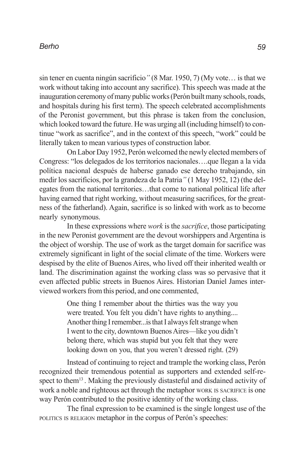sin tener en cuenta ningún sacrificio*"* (8 Mar. 1950, 7) (My vote… is that we work without taking into account any sacrifice). This speech was made at the inauguration ceremony of many public works (Perón built many schools, roads, and hospitals during his first term). The speech celebrated accomplishments of the Peronist government, but this phrase is taken from the conclusion, which looked toward the future. He was urging all (including himself) to continue "work as sacrifice", and in the context of this speech, "work" could be literally taken to mean various types of construction labor.

On Labor Day 1952, Perón welcomed the newly elected members of Congress: "los delegados de los territorios nacionales….que llegan a la vida política nacional después de haberse ganado ese derecho trabajando, sin medir los sacrificios, por la grandeza de la Patria*"* (1 May 1952, 12) (the delegates from the national territories…that come to national political life after having earned that right working, without measuring sacrifices, for the greatness of the fatherland). Again, sacrifice is so linked with work as to become nearly synonymous.

In these expressions where *work* is the *sacrifice*, those participating in the new Peronist government are the devout worshippers and Argentina is the object of worship. The use of work as the target domain for sacrifice was extremely significant in light of the social climate of the time. Workers were despised by the elite of Buenos Aires, who lived off their inherited wealth or land. The discrimination against the working class was so pervasive that it even affected public streets in Buenos Aires. Historian Daniel James interviewed workers from this period, and one commented,

> One thing I remember about the thirties was the way you were treated. You felt you didn't have rights to anything.... Another thing I remember...is that I always felt strange when I went to the city, downtown Buenos Aires—like you didn't belong there, which was stupid but you felt that they were looking down on you, that you weren't dressed right. (29)

Instead of continuing to reject and trample the working class, Perón recognized their tremendous potential as supporters and extended self-respect to them<sup>13</sup>. Making the previously distasteful and disdained activity of work a noble and righteous act through the metaphor WORK IS SACRIFICE is one way Perón contributed to the positive identity of the working class.

The final expression to be examined is the single longest use of the POLITICS IS RELIGION metaphor in the corpus of Perón's speeches: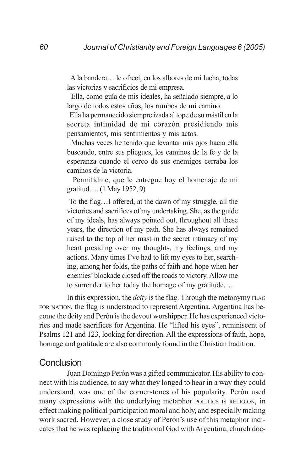A la bandera… le ofrecí, en los albores de mi lucha, todas las victorias y sacrificios de mi empresa.

 Ella, como guía de mis ideales, ha señalado siempre, a lo largo de todos estos años, los rumbos de mi camino.

 Ella ha permanecido siempre izada al tope de su mástil en la secreta intimidad de mi corazón presidiendo mis pensamientos, mis sentimientos y mis actos.

 Muchas veces he tenido que levantar mis ojos hacia ella buscando, entre sus pliegues, los caminos de la fe y de la esperanza cuando el cerco de sus enemigos cerraba los caminos de la victoria.

 Permitidme, que le entregue hoy el homenaje de mi gratitud….(1 May 1952, 9)

 To the flag…I offered, at the dawn of my struggle, all the victories and sacrifices of my undertaking. She, as the guide of my ideals, has always pointed out, throughout all these years, the direction of my path. She has always remained raised to the top of her mast in the secret intimacy of my heart presiding over my thoughts, my feelings, and my actions. Many times I've had to lift my eyes to her, searching, among her folds, the paths of faith and hope when her enemies' blockade closed off the roads to victory. Allow me to surrender to her today the homage of my gratitude….

In this expression, the *deity* is the flag. Through the metonymy FLAG FOR NATION, the flag is understood to represent Argentina. Argentina has become the deity and Perón is the devout worshipper. He has experienced victories and made sacrifices for Argentina. He "lifted his eyes", reminiscent of Psalms 121 and 123, looking for direction. All the expressions of faith, hope, homage and gratitude are also commonly found in the Christian tradition.

### Conclusion

Juan Domingo Perón was a gifted communicator. His ability to connect with his audience, to say what they longed to hear in a way they could understand, was one of the cornerstones of his popularity. Perón used many expressions with the underlying metaphor POLITICS IS RELIGION, in effect making political participation moral and holy, and especially making work sacred. However, a close study of Perón's use of this metaphor indicates that he was replacing the traditional God with Argentina, church doc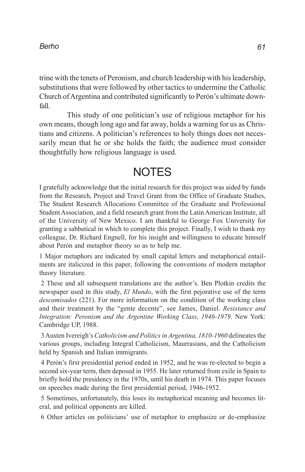trine with the tenets of Peronism, and church leadership with his leadership, substitutions that were followed by other tactics to undermine the Catholic Church of Argentina and contributed significantly to Perón's ultimate downfall.

This study of one politician's use of religious metaphor for his own means, though long ago and far away, holds a warning for us as Christians and citizens. A politician's references to holy things does not necessarily mean that he or she holds the faith; the audience must consider thoughtfully how religious language is used.

## **NOTES**

I gratefully acknowledge that the initial research for this project was aided by funds from the Research, Project and Travel Grant from the Office of Graduate Studies, The Student Research Allocations Committee of the Graduate and Professional Student Association, and a field research grant from the Latin American Institute, all of the University of New Mexico. I am thankful to George Fox University for granting a sabbatical in which to complete this project. Finally, I wish to thank my colleague, Dr. Richard Engnell, for his insight and willingness to educate himself about Perón and metaphor theory so as to help me.

1 Major metaphors are indicated by small capital letters and metaphorical entailments are italicized in this paper, following the conventions of modern metaphor theory literature.

2 These and all subsequent translations are the author's. Ben Plotkin credits the newspaper used in this study, *El Mundo*, with the first pejorative use of the term *descamisados* (221). For more information on the condition of the working class and their treatment by the "gente decente", see James, Daniel. *Resistance and Integration: Peronism and the Argentine Working Class, 1946-1979*. New York: Cambridge UP, 1988.

3 Austen Ivereigh's *Catholicism and Politics in Argentina, 1810-1960* delineates the various groups, including Integral Catholicism, Maurrasians, and the Catholicism held by Spanish and Italian immigrants.

4 Perón's first presidential period ended in 1952, and he was re-elected to begin a second six-year term, then deposed in 1955. He later returned from exile in Spain to briefly hold the presidency in the 1970s, until his death in 1974. This paper focuses on speeches made during the first presidential period, 1946-1952.

5 Sometimes, unfortunately, this loses its metaphorical meaning and becomes literal, and political opponents are killed.

6 Other articles on politicians' use of metaphor to emphasize or de-emphasize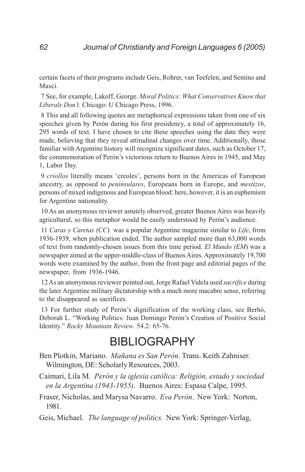certain facets of their programs include Geis, Rohrer, van Teefelen, and Semino and Masci.

7 See, for example, Lakoff, George. *Moral Politics: What Conservatives Know that Liberals Don't.* Chicago: U Chicago Press, 1996.

8 This and all following quotes are metaphorical expressions taken from one of six speeches given by Perón during his first presidency, a total of approximately 16, 295 words of text. I have chosen to cite these speeches using the date they were made, believing that they reveal attitudinal changes over time. Additionally, those familiar with Argentine history will recognize significant dates, such as October 17, the commemoration of Perón's victorious return to Buenos Aires in 1945, and May 1, Labor Day.

9 *criollos* literally means 'creoles', persons born in the Americas of European ancestry, as opposed to *peninsulares*, Europeans born in Europe, and *mestizos*, persons of mixed indigenous and European blood: here, however, it is an euphemism for Argentine nationality.

10 As an anonymous reviewer astutely observed, greater Buenos Aires was heavily agricultural, so this metaphor would be easily understood by Perón's audience.

11 *Caras y Caretas (CC*) was a popular Argentine magazine similar to *Life*, from 1936-1939, when publication ended. The author sampled more than 63,000 words of text from randomly-chosen issues from this time period. *El Mundo (EM*) was a newspaper aimed at the upper-middle-class of Buenos Aires. Approximately 19,700 words were examined by the author, from the front page and editorial pages of the newspaper, from 1936-1946.

12 As an anonymous reviewer pointed out, Jorge Rafael Videla used *sacrifice* during the later Argentine military dictatorship with a much more macabre sense, referring to the disappeared as sacrifices.

13 For further study of Perón's dignification of the working class, see Berhó, Deborah L. "Working Politics: Juan Domingo Perón's Creation of Positive Social Identity." *Rocky Mountain Review*. 54.2: 65-76.

## BIBLIOGRAPHY

- Ben Plotkin, Mariano. *Mañana es San Perón*. Trans. Keith Zahniser. Wilmington, DE: Scholarly Resources, 2003.
- Caimari, Lila M. *Perón y la iglesia católica: Religión, estado y sociedad en la Argentina (1943-1955)*. Buenos Aires: Espasa Calpe, 1995.
- Fraser, Nicholas, and Marysa Navarro. *Eva Perón*. New York: Norton, 1981.

Geis, Michael. *The language of politics.* New York: Springer-Verlag,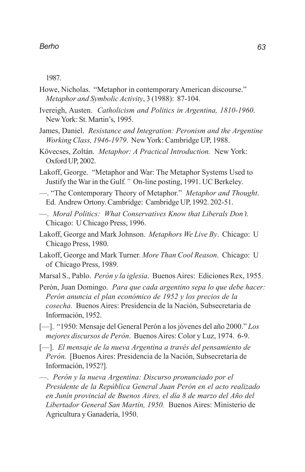1987.

- Howe, Nicholas. "Metaphor in contemporary American discourse." *Metaphor and Symbolic Activity*, 3 (1988): 87-104.
- Ivereigh, Austen. *Catholicism and Politics in Argentina, 1810-1960*. New York: St. Martin's, 1995.
- James, Daniel. *Resistance and Integration: Peronism and the Argentine Working Class, 1946-1979*. New York: Cambridge UP, 1988.
- Kövecses, Zoltán. *Metaphor: A Practical Introduction.* New York: Oxford UP, 2002.
- Lakoff, George. "Metaphor and War: The Metaphor Systems Used to Justify the War in the Gulf*."* On-line posting, 1991. UC Berkeley.
- —. "The Contemporary Theory of Metaphor." *Metaphor and Thought*. Ed. Andrew Ortony. Cambridge: Cambridge UP, 1992. 202-51.
- —. *Moral Politics: What Conservatives Know that Liberals Don't.* Chicago: U Chicago Press, 1996.
- Lakoff, George and Mark Johnson. *Metaphors We Live By*. Chicago: U Chicago Press, 1980.
- Lakoff, George and Mark Turner. *More Than Cool Reason*. Chicago: U of Chicago Press, 1989.
- Marsal S., Pablo. *Perón y la iglesia*. Buenos Aires: Ediciones Rex, 1955.
- Perón, Juan Domingo. *Para que cada argentino sepa lo que debe hacer: Perón anuncia el plan económico de 1952 y los precios de la cosecha.* Buenos Aires: Presidencia de la Nación, Subsecretaría de Información, 1952.
- [—]. "1950: Mensaje del General Perón a los jóvenes del año 2000." *Los mejores discursos de Perón*. Buenos Aires: Color y Luz, 1974. 6-9.
- [—]. *El mensaje de la nueva Argentina a través del pensamiento de Perón.* [Buenos Aires: Presidencia de la Nación, Subsecretaría de Información, 1952?].
- —. *Perón y la nueva Argentina: Discurso pronunciado por el Presidente de la República General Juan Perón en el acto realizado en Junín provincial de Buenos Aires, el día 8 de marzo del Año del Libertador General San Martín, 1950.* Buenos Aires: Ministerio de Agricultura y Ganadería, 1950.